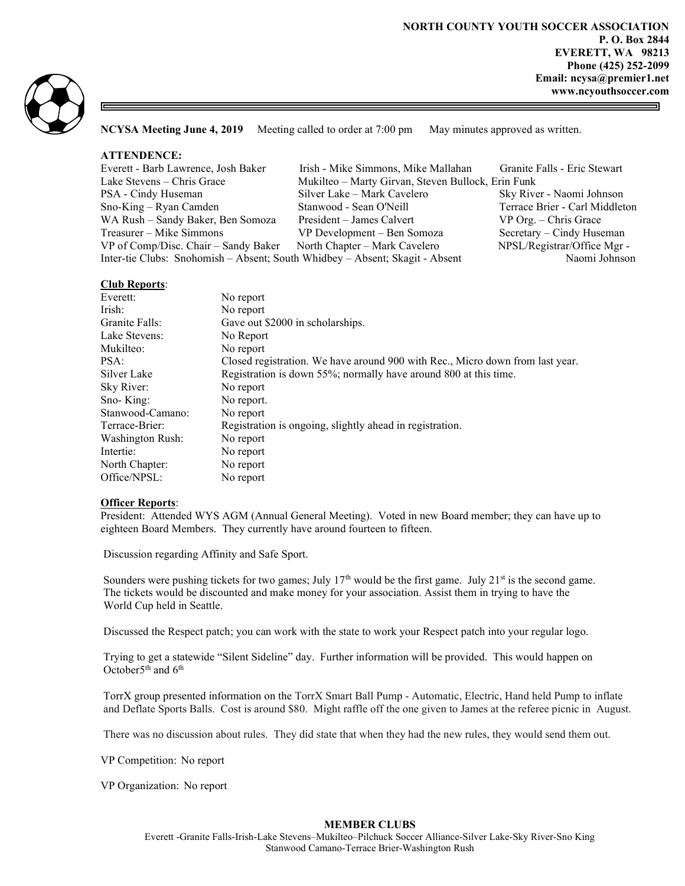

NCYSA Meeting June 4, 2019 Meeting called to order at 7:00 pm May minutes approved as written.

# ATTENDENCE:

| Everett - Barb Lawrence, Josh Baker                                          | Irish - Mike Simmons, Mike Mallahan                | Granite Falls - Eric Stewart   |
|------------------------------------------------------------------------------|----------------------------------------------------|--------------------------------|
| Lake Stevens - Chris Grace                                                   | Mukilteo – Marty Girvan, Steven Bullock, Erin Funk |                                |
| PSA - Cindy Huseman                                                          | Silver Lake – Mark Cavelero                        | Sky River - Naomi Johnson      |
| $Sno-King - Ryan$ Camden                                                     | Stanwood - Sean O'Neill                            | Terrace Brier - Carl Middleton |
| WA Rush - Sandy Baker, Ben Somoza                                            | President – James Calvert                          | $VP$ Org. $-$ Chris Grace      |
| Treasurer – Mike Simmons                                                     | VP Development - Ben Somoza                        | Secretary – Cindy Huseman      |
| VP of Comp/Disc. Chair – Sandy Baker                                         | North Chapter – Mark Cavelero                      | NPSL/Registrar/Office Mgr -    |
| Inter-tie Clubs: Snohomish - Absent; South Whidbey - Absent; Skagit - Absent |                                                    | Naomi Johnson                  |

## Club Reports:

| Everett:                | No report                                                                     |  |
|-------------------------|-------------------------------------------------------------------------------|--|
| Irish:                  | No report                                                                     |  |
| Granite Falls:          | Gave out \$2000 in scholarships.                                              |  |
| Lake Stevens:           | No Report                                                                     |  |
| Mukilteo:               | No report                                                                     |  |
| PSA:                    | Closed registration. We have around 900 with Rec., Micro down from last year. |  |
| Silver Lake             | Registration is down 55%; normally have around 800 at this time.              |  |
| Sky River:              | No report                                                                     |  |
| Sno-King:               | No report.                                                                    |  |
| Stanwood-Camano:        | No report                                                                     |  |
| Terrace-Brier:          | Registration is ongoing, slightly ahead in registration.                      |  |
| <b>Washington Rush:</b> | No report                                                                     |  |
| Intertie:               | No report                                                                     |  |
| North Chapter:          | No report                                                                     |  |
| Office/NPSL:            | No report                                                                     |  |

## **Officer Reports:**

President: Attended WYS AGM (Annual General Meeting). Voted in new Board member; they can have up to eighteen Board Members. They currently have around fourteen to fifteen.

Discussion regarding Affinity and Safe Sport.

Sounders were pushing tickets for two games; July 17<sup>th</sup> would be the first game. July 21<sup>st</sup> is the second game. The tickets would be discounted and make money for your association. Assist them in trying to have the World Cup held in Seattle.

Discussed the Respect patch; you can work with the state to work your Respect patch into your regular logo.

 Trying to get a statewide "Silent Sideline" day. Further information will be provided. This would happen on October5<sup>th</sup> and 6<sup>th</sup>

 TorrX group presented information on the TorrX Smart Ball Pump - Automatic, Electric, Hand held Pump to inflate and Deflate Sports Balls. Cost is around \$80. Might raffle off the one given to James at the referee picnic in August.

There was no discussion about rules. They did state that when they had the new rules, they would send them out.

VP Competition: No report

VP Organization: No report

## MEMBER CLUBS

Everett -Granite Falls-Irish-Lake Stevens–Mukilteo–Pilchuck Soccer Alliance-Silver Lake-Sky River-Sno King Stanwood Camano-Terrace Brier-Washington Rush